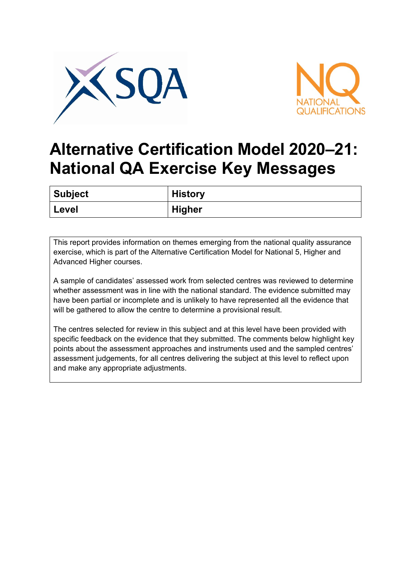



## **Alternative Certification Model 2020–21: National QA Exercise Key Messages**

| <b>Subject</b> | <b>History</b> |
|----------------|----------------|
| ' Level        | <b>Higher</b>  |

This report provides information on themes emerging from the national quality assurance exercise, which is part of the Alternative Certification Model for National 5, Higher and Advanced Higher courses.

A sample of candidates' assessed work from selected centres was reviewed to determine whether assessment was in line with the national standard. The evidence submitted may have been partial or incomplete and is unlikely to have represented all the evidence that will be gathered to allow the centre to determine a provisional result.

The centres selected for review in this subject and at this level have been provided with specific feedback on the evidence that they submitted. The comments below highlight key points about the assessment approaches and instruments used and the sampled centres' assessment judgements, for all centres delivering the subject at this level to reflect upon and make any appropriate adjustments.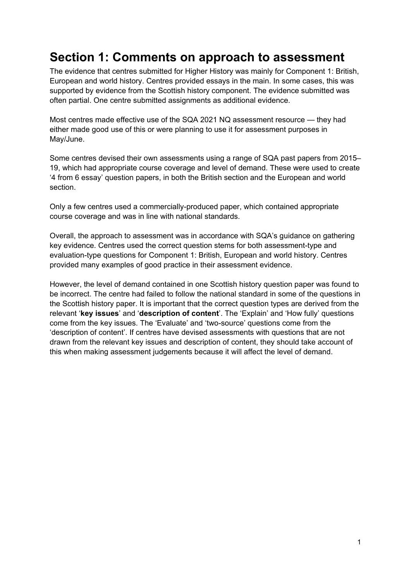## **Section 1: Comments on approach to assessment**

The evidence that centres submitted for Higher History was mainly for Component 1: British, European and world history. Centres provided essays in the main. In some cases, this was supported by evidence from the Scottish history component. The evidence submitted was often partial. One centre submitted assignments as additional evidence.

Most centres made effective use of the SQA 2021 NQ assessment resource — they had either made good use of this or were planning to use it for assessment purposes in May/June.

Some centres devised their own assessments using a range of SQA past papers from 2015– 19, which had appropriate course coverage and level of demand. These were used to create '4 from 6 essay' question papers, in both the British section and the European and world section.

Only a few centres used a commercially-produced paper, which contained appropriate course coverage and was in line with national standards.

Overall, the approach to assessment was in accordance with SQA's guidance on gathering key evidence. Centres used the correct question stems for both assessment-type and evaluation-type questions for Component 1: British, European and world history. Centres provided many examples of good practice in their assessment evidence.

However, the level of demand contained in one Scottish history question paper was found to be incorrect. The centre had failed to follow the national standard in some of the questions in the Scottish history paper. It is important that the correct question types are derived from the relevant '**key issues**' and '**description of content**'. The 'Explain' and 'How fully' questions come from the key issues. The 'Evaluate' and 'two-source' questions come from the 'description of content'. If centres have devised assessments with questions that are not drawn from the relevant key issues and description of content, they should take account of this when making assessment judgements because it will affect the level of demand.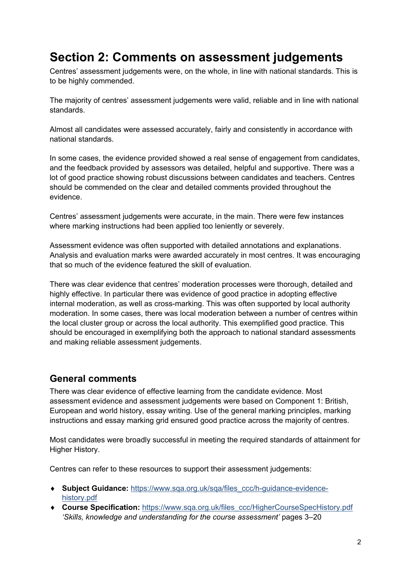## **Section 2: Comments on assessment judgements**

Centres' assessment judgements were, on the whole, in line with national standards. This is to be highly commended.

The majority of centres' assessment judgements were valid, reliable and in line with national standards.

Almost all candidates were assessed accurately, fairly and consistently in accordance with national standards.

In some cases, the evidence provided showed a real sense of engagement from candidates, and the feedback provided by assessors was detailed, helpful and supportive. There was a lot of good practice showing robust discussions between candidates and teachers. Centres should be commended on the clear and detailed comments provided throughout the evidence.

Centres' assessment judgements were accurate, in the main. There were few instances where marking instructions had been applied too leniently or severely.

Assessment evidence was often supported with detailed annotations and explanations. Analysis and evaluation marks were awarded accurately in most centres. It was encouraging that so much of the evidence featured the skill of evaluation.

There was clear evidence that centres' moderation processes were thorough, detailed and highly effective. In particular there was evidence of good practice in adopting effective internal moderation, as well as cross-marking. This was often supported by local authority moderation. In some cases, there was local moderation between a number of centres within the local cluster group or across the local authority. This exemplified good practice. This should be encouraged in exemplifying both the approach to national standard assessments and making reliable assessment judgements.

## **General comments**

There was clear evidence of effective learning from the candidate evidence. Most assessment evidence and assessment judgements were based on Component 1: British, European and world history, essay writing. Use of the general marking principles, marking instructions and essay marking grid ensured good practice across the majority of centres.

Most candidates were broadly successful in meeting the required standards of attainment for Higher History.

Centres can refer to these resources to support their assessment judgements:

- ♦ **Subject Guidance:** [https://www.sqa.org.uk/sqa/files\\_ccc/h-guidance-evidence](https://www.sqa.org.uk/sqa/files_ccc/h-guidance-evidence-history.pdf)[history.pdf](https://www.sqa.org.uk/sqa/files_ccc/h-guidance-evidence-history.pdf)
- ♦ **Course Specification:** [https://www.sqa.org.uk/files\\_ccc/HigherCourseSpecHistory.pdf](https://www.sqa.org.uk/files_ccc/HigherCourseSpecHistory.pdf) *'Skills, knowledge and understanding for the course assessment'* pages 3–20